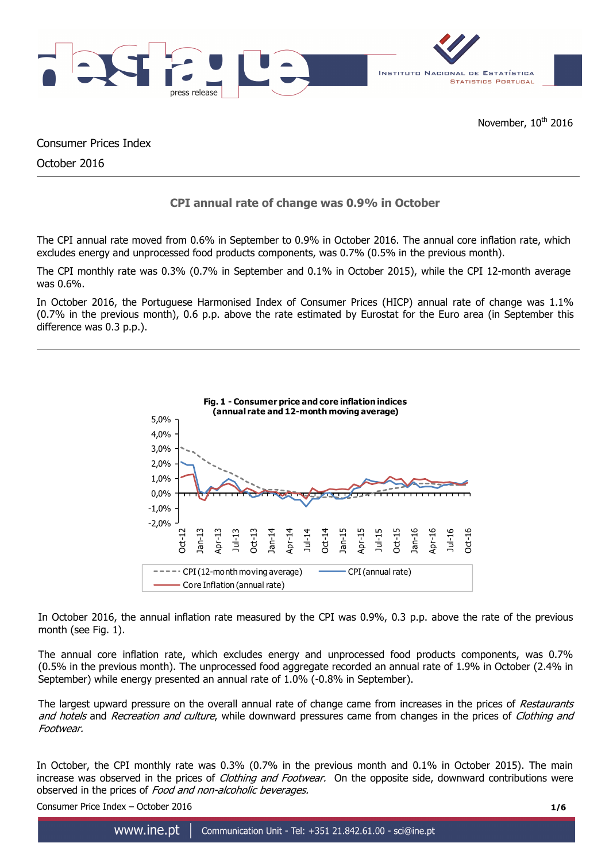

Consumer Prices Index

October 2016

# **CPI annual rate of change was 0.9% in October**

The CPI annual rate moved from 0.6% in September to 0.9% in October 2016. The annual core inflation rate, which excludes energy and unprocessed food products components, was 0.7% (0.5% in the previous month).

The CPI monthly rate was 0.3% (0.7% in September and 0.1% in October 2015), while the CPI 12-month average was 0.6%.

In October 2016, the Portuguese Harmonised Index of Consumer Prices (HICP) annual rate of change was 1.1% (0.7% in the previous month), 0.6 p.p. above the rate estimated by Eurostat for the Euro area (in September this difference was 0.3 p.p.).



In October 2016, the annual inflation rate measured by the CPI was 0.9%, 0.3 p.p. above the rate of the previous month (see Fig. 1).

The annual core inflation rate, which excludes energy and unprocessed food products components, was 0.7% (0.5% in the previous month). The unprocessed food aggregate recorded an annual rate of 1.9% in October (2.4% in September) while energy presented an annual rate of 1.0% (-0.8% in September).

The largest upward pressure on the overall annual rate of change came from increases in the prices of Restaurants and hotels and Recreation and culture, while downward pressures came from changes in the prices of Clothing and Footwear.

In October, the CPI monthly rate was 0.3% (0.7% in the previous month and 0.1% in October 2015). The main increase was observed in the prices of *Clothing and Footwear*. On the opposite side, downward contributions were observed in the prices of Food and non-alcoholic beverages.

Consumer Price Index – October 2016 **1/6**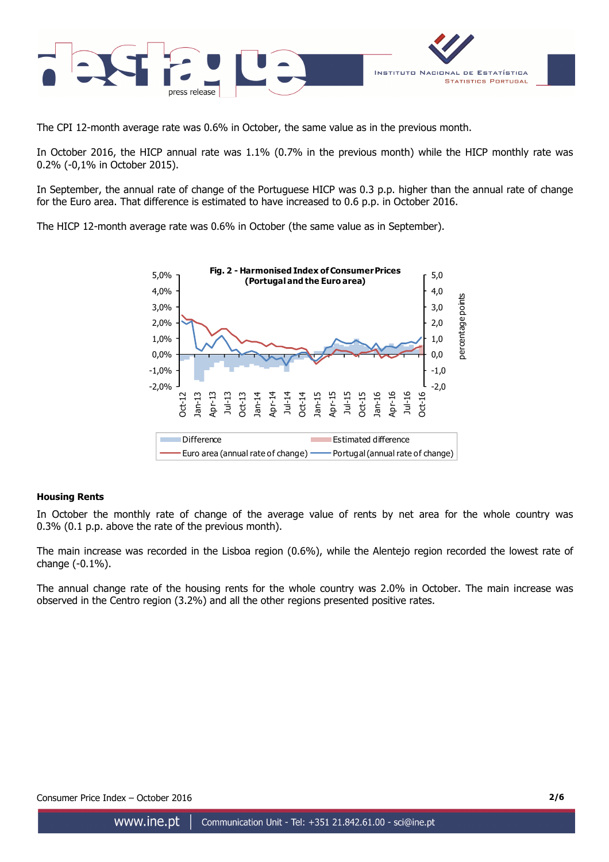

The CPI 12-month average rate was 0.6% in October, the same value as in the previous month.

In October 2016, the HICP annual rate was 1.1% (0.7% in the previous month) while the HICP monthly rate was 0.2% (-0,1% in October 2015).

In September, the annual rate of change of the Portuguese HICP was 0.3 p.p. higher than the annual rate of change for the Euro area. That difference is estimated to have increased to 0.6 p.p. in October 2016.

The HICP 12-month average rate was 0.6% in October (the same value as in September).



## **Housing Rents**

In October the monthly rate of change of the average value of rents by net area for the whole country was 0.3% (0.1 p.p. above the rate of the previous month).

The main increase was recorded in the Lisboa region (0.6%), while the Alentejo region recorded the lowest rate of change (-0.1%).

The annual change rate of the housing rents for the whole country was 2.0% in October. The main increase was observed in the Centro region (3.2%) and all the other regions presented positive rates.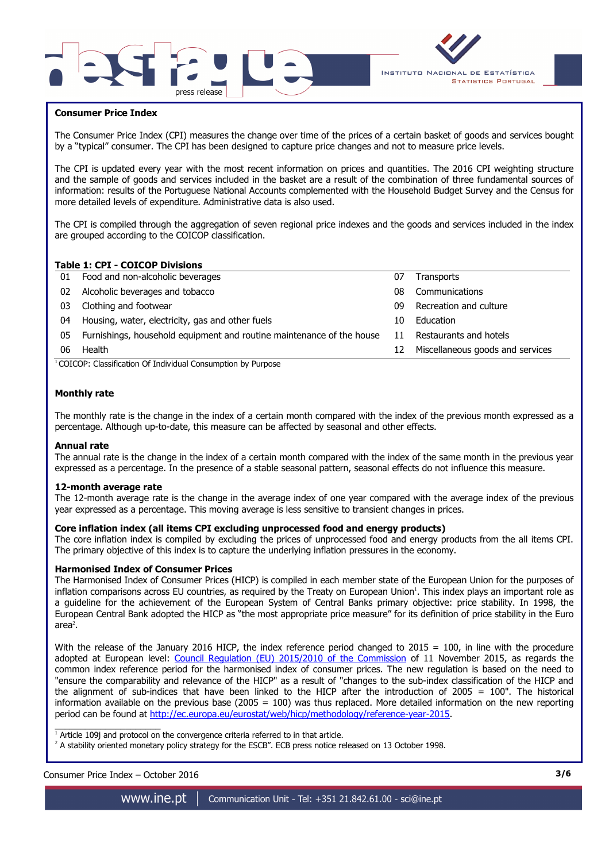



### **Consumer Price Index**

I

The Consumer Price Index (CPI) measures the change over time of the prices of a certain basket of goods and services bought by a "typical" consumer. The CPI has been designed to capture price changes and not to measure price levels.

The CPI is updated every year with the most recent information on prices and quantities. The 2016 CPI weighting structure and the sample of goods and services included in the basket are a result of the combination of three fundamental sources of information: results of the Portuguese National Accounts complemented with the Household Budget Survey and the Census for more detailed levels of expenditure. Administrative data is also used.

The CPI is compiled through the aggregation of seven regional price indexes and the goods and services included in the index are grouped according to the COICOP classification.

### **Table 1: CPI - COICOP Divisions**

|    | TUDIC 11 CI 1 COICOL DIVISIONS                                        |    |                                  |
|----|-----------------------------------------------------------------------|----|----------------------------------|
|    | 01 Food and non-alcoholic beverages                                   | 07 | <b>Transports</b>                |
| 02 | Alcoholic beverages and tobacco                                       | 08 | Communications                   |
| 03 | Clothing and footwear                                                 | n9 | Recreation and culture           |
| 04 | Housing, water, electricity, gas and other fuels                      | 10 | Education                        |
| 05 | Furnishings, household equipment and routine maintenance of the house | 11 | Restaurants and hotels           |
| 06 | Health                                                                | 12 | Miscellaneous goods and services |
|    |                                                                       |    |                                  |

<sup>1</sup>COICOP: Classification Of Individual Consumption by Purpose

### **Monthly rate**

The monthly rate is the change in the index of a certain month compared with the index of the previous month expressed as a percentage. Although up-to-date, this measure can be affected by seasonal and other effects.

#### **Annual rate**

The annual rate is the change in the index of a certain month compared with the index of the same month in the previous year expressed as a percentage. In the presence of a stable seasonal pattern, seasonal effects do not influence this measure.

#### **12-month average rate**

The 12-month average rate is the change in the average index of one year compared with the average index of the previous year expressed as a percentage. This moving average is less sensitive to transient changes in prices.

### **Core inflation index (all items CPI excluding unprocessed food and energy products)**

The core inflation index is compiled by excluding the prices of unprocessed food and energy products from the all items CPI. The primary objective of this index is to capture the underlying inflation pressures in the economy.

### **Harmonised Index of Consumer Prices**

The Harmonised Index of Consumer Prices (HICP) is compiled in each member state of the European Union for the purposes of inflation comparisons across EU countries, as required by the Treaty on European Union<sup>1</sup>. This index plays an important role as a guideline for the achievement of the European System of Central Banks primary objective: price stability. In 1998, the European Central Bank adopted the HICP as "the most appropriate price measure" for its definition of price stability in the Euro area $^2$ .

With the release of the January 2016 HICP, the index reference period changed to  $2015 = 100$ , in line with the procedure adopted at European level: Council Regulation (EU) 2015/2010 of the Commission of 11 November 2015, as regards the common index reference period for the harmonised index of consumer prices. The new regulation is based on the need to "ensure the comparability and relevance of the HICP" as a result of "changes to the sub-index classification of the HICP and the alignment of sub-indices that have been linked to the HICP after the introduction of 2005 = 100". The historical information available on the previous base (2005 =  $100$ ) was thus replaced. More detailed information on the new reporting period can be found at http://ec.europa.eu/eurostat/web/hicp/methodology/reference-year-2015.

1<br>Article 109j and protocol on the convergence criteria referred to in that article.

<sup>2</sup> A stability oriented monetary policy strategy for the ESCB". ECB press notice released on 13 October 1998.

# Consumer Price Index – October 2016 **3/6**

www.ine.pt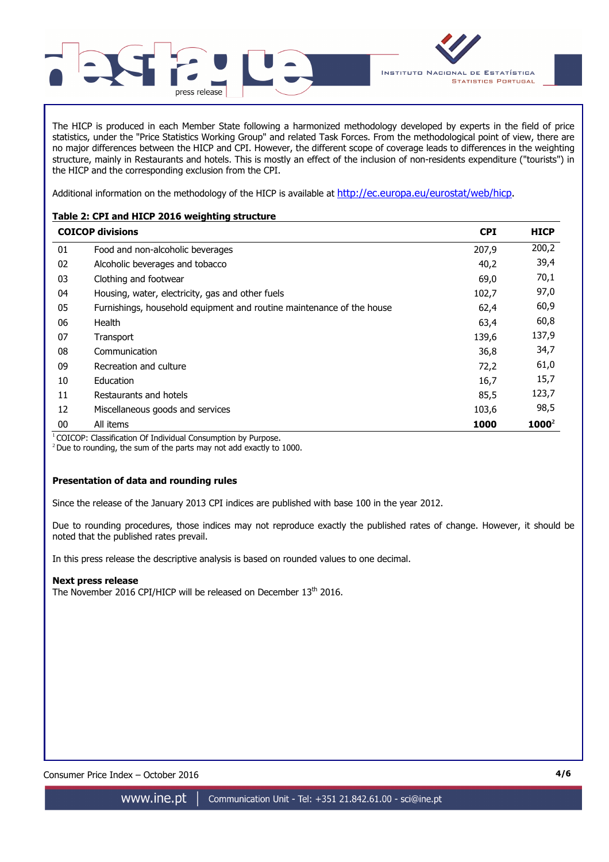

The HICP is produced in each Member State following a harmonized methodology developed by experts in the field of price statistics, under the "Price Statistics Working Group" and related Task Forces. From the methodological point of view, there are no major differences between the HICP and CPI. However, the different scope of coverage leads to differences in the weighting structure, mainly in Restaurants and hotels. This is mostly an effect of the inclusion of non-residents expenditure ("tourists") in the HICP and the corresponding exclusion from the CPI.

Additional information on the methodology of the HICP is available at http://ec.europa.eu/eurostat/web/hicp.

# **Table 2: CPI and HICP 2016 weighting structure**

|    | <b>COICOP divisions</b>                                               | <b>CPI</b> | <b>HICP</b> |
|----|-----------------------------------------------------------------------|------------|-------------|
| 01 | Food and non-alcoholic beverages                                      | 207,9      | 200,2       |
| 02 | Alcoholic beverages and tobacco                                       | 40,2       | 39,4        |
| 03 | Clothing and footwear                                                 | 69,0       | 70,1        |
| 04 | Housing, water, electricity, gas and other fuels                      | 102,7      | 97,0        |
| 05 | Furnishings, household equipment and routine maintenance of the house | 62,4       | 60,9        |
| 06 | Health                                                                | 63,4       | 60,8        |
| 07 | Transport                                                             | 139,6      | 137,9       |
| 08 | Communication                                                         | 36,8       | 34,7        |
| 09 | Recreation and culture                                                | 72,2       | 61,0        |
| 10 | Education                                                             | 16,7       | 15,7        |
| 11 | Restaurants and hotels                                                | 85,5       | 123,7       |
| 12 | Miscellaneous goods and services                                      | 103,6      | 98,5        |
| 00 | All items                                                             | 1000       | $1000^2$    |

<sup>1</sup> COICOP: Classification Of Individual Consumption by Purpose.

 $2$  Due to rounding, the sum of the parts may not add exactly to 1000.

## **Presentation of data and rounding rules**

Since the release of the January 2013 CPI indices are published with base 100 in the year 2012.

Due to rounding procedures, those indices may not reproduce exactly the published rates of change. However, it should be noted that the published rates prevail.

In this press release the descriptive analysis is based on rounded values to one decimal.

## **Next press release**

The November 2016 CPI/HICP will be released on December 13<sup>th</sup> 2016.

Consumer Price Index – October 2016 **4/6**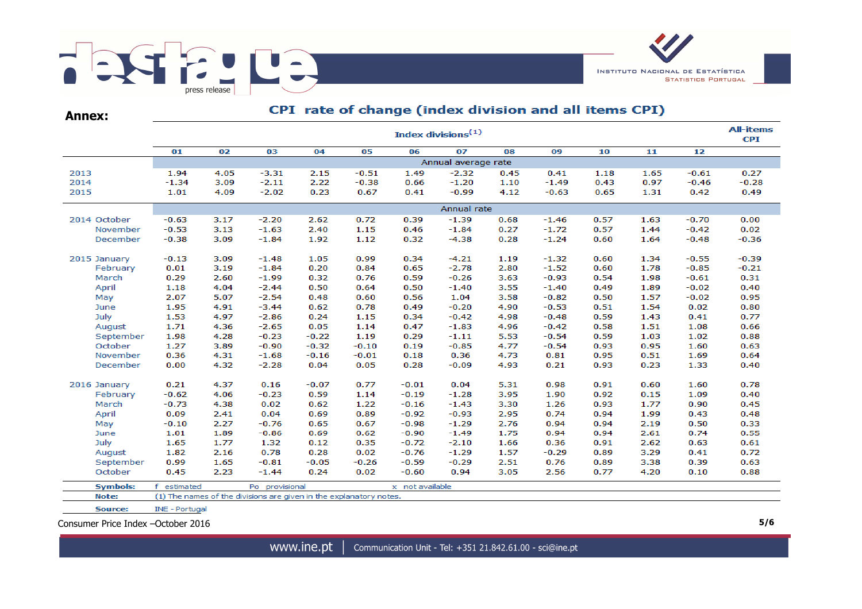

CDI rate of change (index division and all items CDI)

| <b>Annex:</b>   |                       | Cri Tate of Change (fildex division and an items Cri)<br><b>All-items</b> |                                                                    |         |         |                 |                     |      |         |      |      |         |         |  |  |  |
|-----------------|-----------------------|---------------------------------------------------------------------------|--------------------------------------------------------------------|---------|---------|-----------------|---------------------|------|---------|------|------|---------|---------|--|--|--|
|                 |                       | Index divisions <sup>(1)</sup>                                            |                                                                    |         |         |                 |                     |      |         |      |      |         |         |  |  |  |
|                 | 01                    | 02                                                                        | 03                                                                 | 04      | 05      | 06              | 07                  | 08   | 09      | 10   | 11   | 12      |         |  |  |  |
|                 |                       |                                                                           |                                                                    |         |         |                 | Annual average rate |      |         |      |      |         |         |  |  |  |
| 2013            | 1.94                  | 4.05                                                                      | $-3.31$                                                            | 2.15    | $-0.51$ | 1.49            | $-2.32$             | 0.45 | 0.41    | 1.18 | 1.65 | $-0.61$ | 0.27    |  |  |  |
| 2014            | $-1.34$               | 3.09                                                                      | $-2.11$                                                            | 2.22    | $-0.38$ | 0.66            | $-1.20$             | 1.10 | $-1.49$ | 0.43 | 0.97 | $-0.46$ | $-0.28$ |  |  |  |
| 2015            | 1.01                  | 4.09                                                                      | $-2.02$                                                            | 0.23    | 0.67    | 0.41            | $-0.99$             | 4.12 | $-0.63$ | 0.65 | 1.31 | 0.42    | 0.49    |  |  |  |
|                 |                       |                                                                           |                                                                    |         |         |                 | Annual rate         |      |         |      |      |         |         |  |  |  |
| 2014 October    | $-0.63$               | 3.17                                                                      | $-2.20$                                                            | 2.62    | 0.72    | 0.39            | $-1.39$             | 0.68 | $-1.46$ | 0.57 | 1.63 | $-0.70$ | 0.00    |  |  |  |
| November        | $-0.53$               | 3.13                                                                      | $-1.63$                                                            | 2.40    | 1.15    | 0.46            | $-1.84$             | 0.27 | $-1.72$ | 0.57 | 1.44 | $-0.42$ | 0.02    |  |  |  |
| December        | $-0.38$               | 3.09                                                                      | $-1.84$                                                            | 1.92    | 1.12    | 0.32            | $-4.38$             | 0.28 | $-1.24$ | 0.60 | 1.64 | $-0.48$ | $-0.36$ |  |  |  |
| 2015 January    | $-0.13$               | 3.09                                                                      | $-1.48$                                                            | 1.05    | 0.99    | 0.34            | $-4.21$             | 1.19 | $-1.32$ | 0.60 | 1.34 | $-0.55$ | $-0.39$ |  |  |  |
| February        | 0.01                  | 3.19                                                                      | $-1.84$                                                            | 0.20    | 0.84    | 0.65            | $-2.78$             | 2.80 | $-1.52$ | 0.60 | 1.78 | $-0.85$ | $-0.21$ |  |  |  |
| March           | 0.29                  | 2.60                                                                      | $-1.99$                                                            | 0.32    | 0.76    | 0.59            | $-0.26$             | 3.63 | $-0.93$ | 0.54 | 1.98 | $-0.61$ | 0.31    |  |  |  |
| April           | 1.18                  | 4.04                                                                      | $-2.44$                                                            | 0.50    | 0.64    | 0.50            | $-1.40$             | 3.55 | $-1.40$ | 0.49 | 1.89 | $-0.02$ | 0.40    |  |  |  |
| May             | 2.07                  | 5.07                                                                      | $-2.54$                                                            | 0.48    | 0.60    | 0.56            | 1.04                | 3.58 | $-0.82$ | 0.50 | 1.57 | $-0.02$ | 0.95    |  |  |  |
| June            | 1.95                  | 4.91                                                                      | $-3.44$                                                            | 0.62    | 0.78    | 0.49            | $-0.20$             | 4.90 | $-0.53$ | 0.51 | 1.54 | 0.02    | 0.80    |  |  |  |
| July            | 1.53                  | 4.97                                                                      | $-2.86$                                                            | 0.24    | 1.15    | 0.34            | $-0.42$             | 4.98 | $-0.48$ | 0.59 | 1.43 | 0.41    | 0.77    |  |  |  |
| August          | 1.71                  | 4.36                                                                      | $-2.65$                                                            | 0.05    | 1.14    | 0.47            | $-1.83$             | 4.96 | $-0.42$ | 0.58 | 1.51 | 1.08    | 0.66    |  |  |  |
| September       | 1.98                  | 4.28                                                                      | $-0.23$                                                            | $-0.22$ | 1.19    | 0.29            | $-1.11$             | 5.53 | $-0.54$ | 0.59 | 1.03 | 1.02    | 0.88    |  |  |  |
| October         | 1.27                  | 3.89                                                                      | $-0.90$                                                            | $-0.32$ | $-0.10$ | 0.19            | $-0.85$             | 4.77 | $-0.54$ | 0.93 | 0.95 | 1.60    | 0.63    |  |  |  |
| November        | 0.36                  | 4.31                                                                      | $-1.68$                                                            | $-0.16$ | $-0.01$ | 0.18            | 0.36                | 4.73 | 0.81    | 0.95 | 0.51 | 1.69    | 0.64    |  |  |  |
| December        | 0.00                  | 4.32                                                                      | $-2.28$                                                            | 0.04    | 0.05    | 0.28            | $-0.09$             | 4.93 | 0.21    | 0.93 | 0.23 | 1.33    | 0.40    |  |  |  |
| 2016 January    | 0.21                  | 4.37                                                                      | 0.16                                                               | $-0.07$ | 0.77    | $-0.01$         | 0.04                | 5.31 | 0.98    | 0.91 | 0.60 | 1.60    | 0.78    |  |  |  |
| February        | $-0.62$               | 4.06                                                                      | $-0.23$                                                            | 0.59    | 1.14    | $-0.19$         | $-1.28$             | 3.95 | 1.90    | 0.92 | 0.15 | 1.09    | 0.40    |  |  |  |
| March           | $-0.73$               | 4.38                                                                      | 0.02                                                               | 0.62    | 1.22    | $-0.16$         | $-1.43$             | 3.30 | 1.26    | 0.93 | 1.77 | 0.90    | 0.45    |  |  |  |
| April           | 0.09                  | 2.41                                                                      | 0.04                                                               | 0.69    | 0.89    | $-0.92$         | $-0.93$             | 2.95 | 0.74    | 0.94 | 1.99 | 0.43    | 0.48    |  |  |  |
| May             | $-0.10$               | 2.27                                                                      | $-0.76$                                                            | 0.65    | 0.67    | $-0.98$         | $-1.29$             | 2.76 | 0.94    | 0.94 | 2.19 | 0.50    | 0.33    |  |  |  |
| June            | 1.01                  | 1.89                                                                      | $-0.86$                                                            | 0.69    | 0.62    | $-0.90$         | $-1.49$             | 1.75 | 0.94    | 0.94 | 2.61 | 0.74    | 0.55    |  |  |  |
| July            | 1.65                  | 1.77                                                                      | 1.32                                                               | 0.12    | 0.35    | $-0.72$         | $-2.10$             | 1.66 | 0.36    | 0.91 | 2.62 | 0.63    | 0.61    |  |  |  |
| August          | 1.82                  | 2.16                                                                      | 0.78                                                               | 0.28    | 0.02    | $-0.76$         | $-1.29$             | 1.57 | $-0.29$ | 0.89 | 3.29 | 0.41    | 0.72    |  |  |  |
| September       | 0.99                  | 1.65                                                                      | $-0.81$                                                            | $-0.05$ | $-0.26$ | $-0.59$         | $-0.29$             | 2.51 | 0.76    | 0.89 | 3.38 | 0.39    | 0.63    |  |  |  |
| October         | 0.45                  | 2.23                                                                      | $-1.44$                                                            | 0.24    | 0.02    | $-0.60$         | 0.94                | 3.05 | 2.56    | 0.77 | 4.20 | 0.10    | 0.88    |  |  |  |
| <b>Symbols:</b> | f.<br>estimated       |                                                                           | Po provisional                                                     |         |         | x not available |                     |      |         |      |      |         |         |  |  |  |
| Note:           |                       |                                                                           | (1) The names of the divisions are given in the explanatory notes. |         |         |                 |                     |      |         |      |      |         |         |  |  |  |
| Source:         | <b>INE - Portugal</b> |                                                                           |                                                                    |         |         |                 |                     |      |         |      |      |         |         |  |  |  |

Consumer Price Index –October 2016 **5/6**

www.ine.pt | Communication Unit - Tel: +351 21.842.61.00 - sci@ine.pt